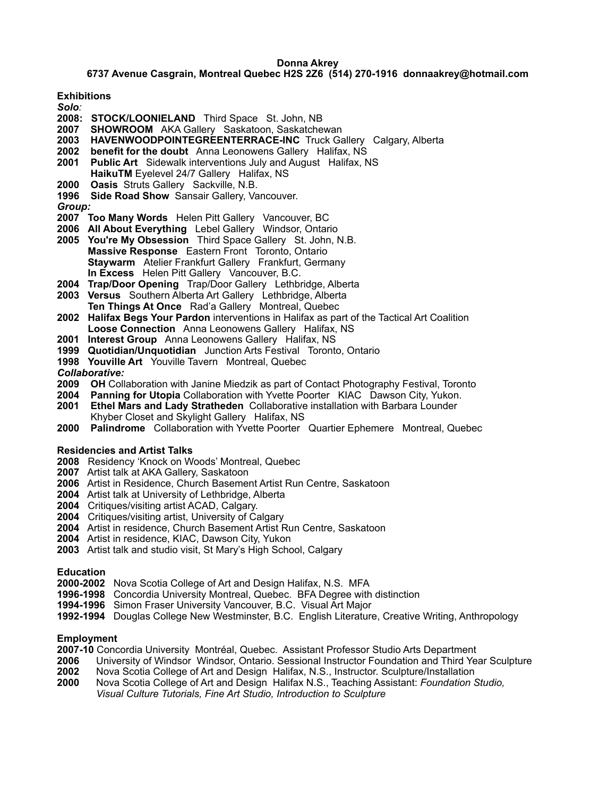**6737 Avenue Casgrain, Montreal Quebec H2S 2Z6 (514) 270-1916 donnaakrey@hotmail.com**

**Exhibitions**

- *Solo:*
- **2008: STOCK/LOONIELAND** Third Space St. John, NB
- **2007 SHOWROOM** AKA Gallery Saskatoon, Saskatchewan
- **2003 HAVENWOODPOINTEGREENTERRACE-INC** Truck Gallery Calgary, Alberta
- **2002 benefit for the doubt** Anna Leonowens Gallery Halifax, NS
- **2001 Public Art** Sidewalk interventions July and August Halifax, NS
- **HaikuTM** Eyelevel 24/7 Gallery Halifax, NS
- **2000 Oasis** Struts Gallery Sackville, N.B.
- **1996 Side Road Show** Sansair Gallery, Vancouver.

#### *Group:*

- **2007 Too Many Words** Helen Pitt Gallery Vancouver, BC
- **2006 All About Everything** Lebel Gallery Windsor, Ontario
- **2005 You're My Obsession** Third Space Gallery St. John, N.B. **Massive Response** Eastern Front Toronto, Ontario **Staywarm** Atelier Frankfurt Gallery Frankfurt, Germany **In Excess** Helen Pitt Gallery Vancouver, B.C.
- **2004 Trap/Door Opening** Trap/Door Gallery Lethbridge, Alberta
- **2003 Versus** Southern Alberta Art Gallery Lethbridge, Alberta **Ten Things At Once** Rad'a Gallery Montreal, Quebec
- **2002 Halifax Begs Your Pardon** interventions in Halifax as part of the Tactical Art Coalition **Loose Connection** Anna Leonowens Gallery Halifax, NS
- **2001 Interest Group** Anna Leonowens Gallery Halifax, NS
- **1999 Quotidian/Unquotidian** Junction Arts Festival Toronto, Ontario
- **1998 Youville Art** Youville Tavern Montreal, Quebec

*Collaborative:*

- **2009 OH** Collaboration with Janine Miedzik as part of Contact Photography Festival, Toronto
- **2004 Panning for Utopia** Collaboration with Yvette Poorter KIAC Dawson City, Yukon.
- **2001 Ethel Mars and Lady Stratheden** Collaborative installation with Barbara Lounder Khyber Closet and Skylight Gallery Halifax, NS
- **2000 Palindrome** Collaboration with Yvette Poorter Quartier Ephemere Montreal, Quebec

## **Residencies and Artist Talks**

- **2008** Residency 'Knock on Woods' Montreal, Quebec
- **2007** Artist talk at AKA Gallery, Saskatoon
- **2006** Artist in Residence, Church Basement Artist Run Centre, Saskatoon
- **2004** Artist talk at University of Lethbridge, Alberta
- **2004** Critiques/visiting artist ACAD, Calgary.
- **2004** Critiques/visiting artist, University of Calgary
- **2004** Artist in residence, Church Basement Artist Run Centre, Saskatoon
- **2004** Artist in residence, KIAC, Dawson City, Yukon
- **2003** Artist talk and studio visit, St Mary's High School, Calgary

## **Education**

- **2000-2002** Nova Scotia College of Art and Design Halifax, N.S. MFA
- **1996-1998** Concordia University Montreal, Quebec. BFA Degree with distinction
- **1994-1996** Simon Fraser University Vancouver, B.C. Visual Art Major
- **1992-1994** Douglas College New Westminster, B.C. English Literature, Creative Writing, Anthropology

## **Employment**

- **2007-10** Concordia University Montréal, Quebec. Assistant Professor Studio Arts Department
- **2006** University of Windsor Windsor, Ontario. Sessional Instructor Foundation and Third Year Sculpture
- **2002** Nova Scotia College of Art and Design Halifax, N.S., Instructor. Sculpture/Installation
- **2000** Nova Scotia College of Art and Design Halifax N.S., Teaching Assistant: *Foundation Studio, Visual Culture Tutorials, Fine Art Studio, Introduction to Sculpture*